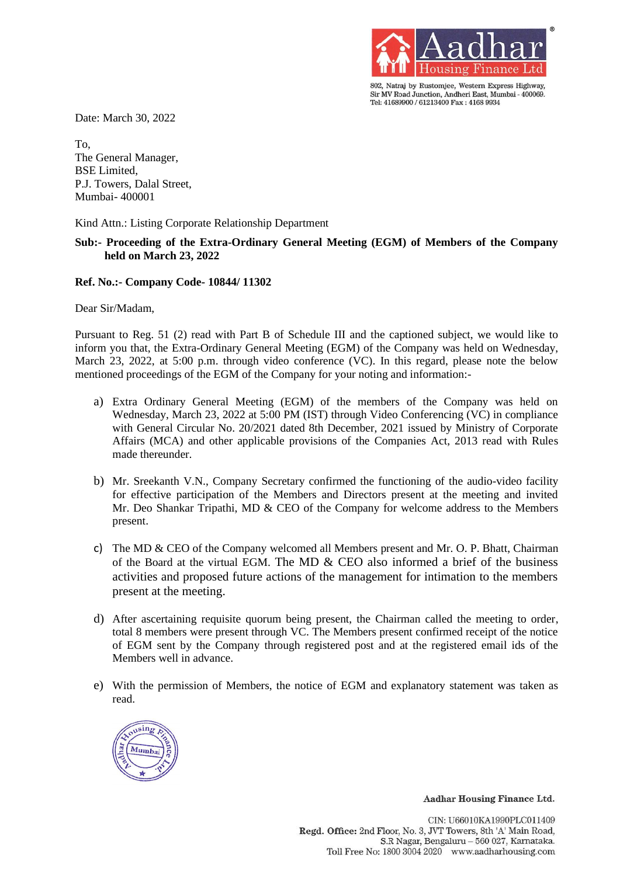

802, Natraj by Rustomjee, Western Express Highway, Sir MV Road Junction, Andheri East, Mumbai - 400069. Tel: 41689900 / 61213400 Fax: 4168 9934

Date: March 30, 2022

To, The General Manager, BSE Limited, P.J. Towers, Dalal Street, Mumbai- 400001

Kind Attn.: Listing Corporate Relationship Department

## **Sub:- Proceeding of the Extra-Ordinary General Meeting (EGM) of Members of the Company held on March 23, 2022**

## **Ref. No.:- Company Code- 10844/ 11302**

Dear Sir/Madam,

Pursuant to Reg. 51 (2) read with Part B of Schedule III and the captioned subject, we would like to inform you that, the Extra-Ordinary General Meeting (EGM) of the Company was held on Wednesday, March 23, 2022, at 5:00 p.m. through video conference (VC). In this regard, please note the below mentioned proceedings of the EGM of the Company for your noting and information:-

- a) Extra Ordinary General Meeting (EGM) of the members of the Company was held on Wednesday, March 23, 2022 at 5:00 PM (IST) through Video Conferencing (VC) in compliance with General Circular No. 20/2021 dated 8th December, 2021 issued by Ministry of Corporate Affairs (MCA) and other applicable provisions of the Companies Act, 2013 read with Rules made thereunder.
- b) Mr. Sreekanth V.N., Company Secretary confirmed the functioning of the audio-video facility for effective participation of the Members and Directors present at the meeting and invited Mr. Deo Shankar Tripathi, MD & CEO of the Company for welcome address to the Members present.
- c) The MD & CEO of the Company welcomed all Members present and Mr. O. P. Bhatt, Chairman of the Board at the virtual EGM. The MD  $&$  CEO also informed a brief of the business activities and proposed future actions of the management for intimation to the members present at the meeting.
- d) After ascertaining requisite quorum being present, the Chairman called the meeting to order, total 8 members were present through VC. The Members present confirmed receipt of the notice of EGM sent by the Company through registered post and at the registered email ids of the Members well in advance.
- e) With the permission of Members, the notice of EGM and explanatory statement was taken as read.



Aadhar Housing Finance Ltd.